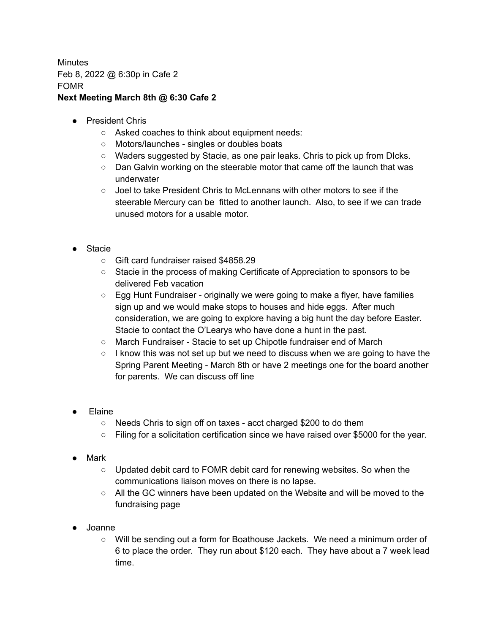**Minutes** Feb 8, 2022 @ 6:30p in Cafe 2 FOMR **Next Meeting March 8th @ 6:30 Cafe 2**

- President Chris
	- Asked coaches to think about equipment needs:
	- Motors/launches singles or doubles boats
	- Waders suggested by Stacie, as one pair leaks. Chris to pick up from DIcks.
	- Dan Galvin working on the steerable motor that came off the launch that was underwater
	- Joel to take President Chris to McLennans with other motors to see if the steerable Mercury can be fitted to another launch. Also, to see if we can trade unused motors for a usable motor.
- Stacie
	- Gift card fundraiser raised \$4858.29
	- Stacie in the process of making Certificate of Appreciation to sponsors to be delivered Feb vacation
	- $\circ$  Egg Hunt Fundraiser originally we were going to make a flyer, have families sign up and we would make stops to houses and hide eggs. After much consideration, we are going to explore having a big hunt the day before Easter. Stacie to contact the O'Learys who have done a hunt in the past.
	- March Fundraiser Stacie to set up Chipotle fundraiser end of March
	- $\circ$  I know this was not set up but we need to discuss when we are going to have the Spring Parent Meeting - March 8th or have 2 meetings one for the board another for parents. We can discuss off line
- **Elaine** 
	- Needs Chris to sign off on taxes acct charged \$200 to do them
	- Filing for a solicitation certification since we have raised over \$5000 for the year.
- Mark
	- Updated debit card to FOMR debit card for renewing websites. So when the communications liaison moves on there is no lapse.
	- All the GC winners have been updated on the Website and will be moved to the fundraising page
- Joanne
	- Will be sending out a form for Boathouse Jackets. We need a minimum order of 6 to place the order. They run about \$120 each. They have about a 7 week lead time.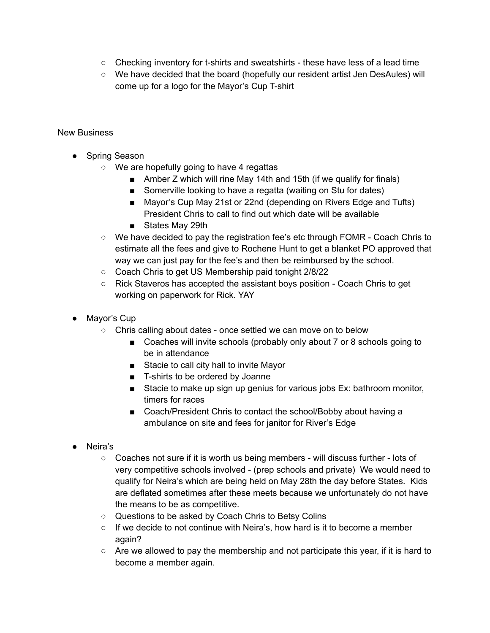- $\circ$  Checking inventory for t-shirts and sweatshirts these have less of a lead time
- We have decided that the board (hopefully our resident artist Jen DesAules) will come up for a logo for the Mayor's Cup T-shirt

## New Business

- Spring Season
	- We are hopefully going to have 4 regattas
		- Amber Z which will rine May 14th and 15th (if we qualify for finals)
		- Somerville looking to have a regatta (waiting on Stu for dates)
		- Mayor's Cup May 21st or 22nd (depending on Rivers Edge and Tufts) President Chris to call to find out which date will be available
		- States May 29th
	- We have decided to pay the registration fee's etc through FOMR Coach Chris to estimate all the fees and give to Rochene Hunt to get a blanket PO approved that way we can just pay for the fee's and then be reimbursed by the school.
	- Coach Chris to get US Membership paid tonight 2/8/22
	- Rick Staveros has accepted the assistant boys position Coach Chris to get working on paperwork for Rick. YAY
- Mayor's Cup
	- Chris calling about dates once settled we can move on to below
		- Coaches will invite schools (probably only about 7 or 8 schools going to be in attendance
		- Stacie to call city hall to invite Mayor
		- T-shirts to be ordered by Joanne
		- Stacie to make up sign up genius for various jobs Ex: bathroom monitor, timers for races
		- Coach/President Chris to contact the school/Bobby about having a ambulance on site and fees for janitor for River's Edge
- Neira's
	- Coaches not sure if it is worth us being members will discuss further lots of very competitive schools involved - (prep schools and private) We would need to qualify for Neira's which are being held on May 28th the day before States. Kids are deflated sometimes after these meets because we unfortunately do not have the means to be as competitive.
	- Questions to be asked by Coach Chris to Betsy Colins
	- $\circ$  If we decide to not continue with Neira's, how hard is it to become a member again?
	- $\circ$  Are we allowed to pay the membership and not participate this year, if it is hard to become a member again.